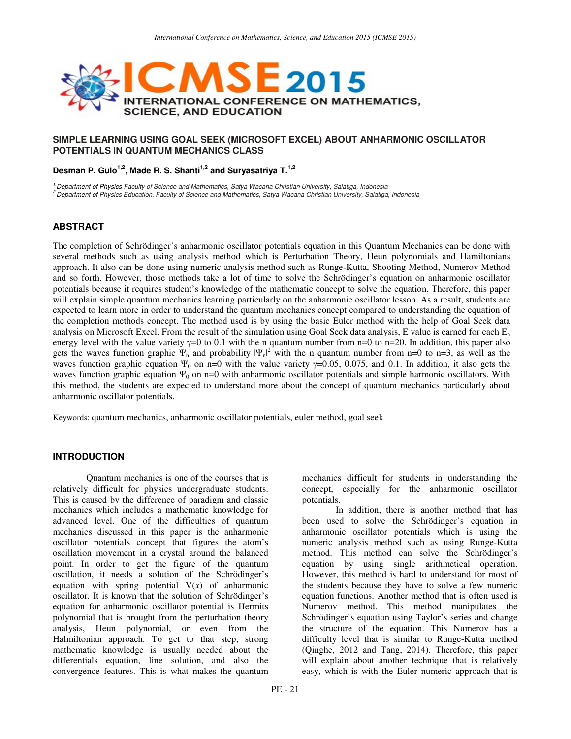

#### **SIMPLE LEARNING USING GOAL SEEK (MICROSOFT EXCEL) ABOUT ANHARMONIC OSCILLATOR POTENTIALS IN QUANTUM MECHANICS CLASS**

**Desman P. Gulo1,2, Made R. S. Shanti1,2 and Suryasatriya T.1,2** 

<sup>1.</sup>Department of Physics Faculty of Science and Mathematics, Satya Wacana Christian University, Salatiga, Indonesia

<sup>2</sup> Department of Physics Education, Faculty of Science and Mathematics, Satya Wacana Christian University, Salatiga, Indonesia

## **ABSTRACT**

The completion of Schrödinger's anharmonic oscillator potentials equation in this Quantum Mechanics can be done with several methods such as using analysis method which is Perturbation Theory, Heun polynomials and Hamiltonians approach. It also can be done using numeric analysis method such as Runge-Kutta, Shooting Method, Numerov Method and so forth. However, those methods take a lot of time to solve the Schrödinger's equation on anharmonic oscillator potentials because it requires student's knowledge of the mathematic concept to solve the equation. Therefore, this paper will explain simple quantum mechanics learning particularly on the anharmonic oscillator lesson. As a result, students are expected to learn more in order to understand the quantum mechanics concept compared to understanding the equation of the completion methods concept. The method used is by using the basic Euler method with the help of Goal Seek data analysis on Microsoft Excel. From the result of the simulation using Goal Seek data analysis, E value is earned for each  $E_n$ energy level with the value variety  $\gamma=0$  to 0.1 with the n quantum number from n=0 to n=20. In addition, this paper also gets the waves function graphic  $\Psi_n$  and probability  $|\Psi_n|^2$  with the n quantum number from n=0 to n=3, as well as the waves function graphic equation  $\Psi_0$  on n=0 with the value variety  $\gamma$ =0.05, 0.075, and 0.1. In addition, it also gets the waves function graphic equation  $\Psi_0$  on n=0 with anharmonic oscillator potentials and simple harmonic oscillators. With this method, the students are expected to understand more about the concept of quantum mechanics particularly about anharmonic oscillator potentials.

Keywords: quantum mechanics, anharmonic oscillator potentials, euler method, goal seek

# **INTRODUCTION**

Quantum mechanics is one of the courses that is relatively difficult for physics undergraduate students. This is caused by the difference of paradigm and classic mechanics which includes a mathematic knowledge for advanced level. One of the difficulties of quantum mechanics discussed in this paper is the anharmonic oscillator potentials concept that figures the atom's oscillation movement in a crystal around the balanced point. In order to get the figure of the quantum oscillation, it needs a solution of the Schrödinger's equation with spring potential V(*x*) of anharmonic oscillator. It is known that the solution of Schrödinger's equation for anharmonic oscillator potential is Hermits polynomial that is brought from the perturbation theory analysis, Heun polynomial, or even from the Halmiltonian approach. To get to that step, strong mathematic knowledge is usually needed about the differentials equation, line solution, and also the convergence features. This is what makes the quantum

mechanics difficult for students in understanding the concept, especially for the anharmonic oscillator potentials.

In addition, there is another method that has been used to solve the Schrödinger's equation in anharmonic oscillator potentials which is using the numeric analysis method such as using Runge-Kutta method. This method can solve the Schrödinger's equation by using single arithmetical operation. However, this method is hard to understand for most of the students because they have to solve a few numeric equation functions. Another method that is often used is Numerov method. This method manipulates the Schrödinger's equation using Taylor's series and change the structure of the equation. This Numerov has a difficulty level that is similar to Runge-Kutta method (Qinghe, 2012 and Tang, 2014). Therefore, this paper will explain about another technique that is relatively easy, which is with the Euler numeric approach that is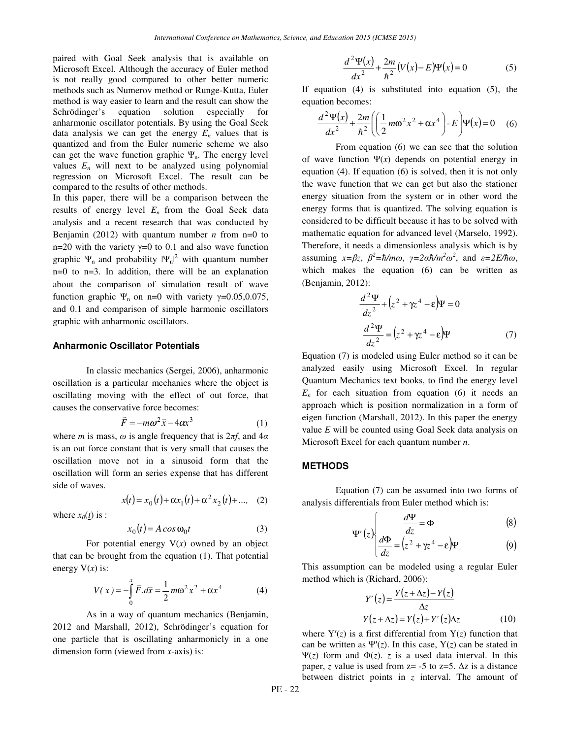paired with Goal Seek analysis that is available on Microsoft Excel. Although the accuracy of Euler method is not really good compared to other better numeric methods such as Numerov method or Runge-Kutta, Euler method is way easier to learn and the result can show the Schrödinger's equation solution especially for anharmonic oscillator potentials. By using the Goal Seek data analysis we can get the energy  $E_n$  values that is quantized and from the Euler numeric scheme we also can get the wave function graphic  $\Psi_n$ . The energy level values  $E_n$  will next to be analyzed using polynomial regression on Microsoft Excel. The result can be compared to the results of other methods.

In this paper, there will be a comparison between the results of energy level  $E<sub>n</sub>$  from the Goal Seek data analysis and a recent research that was conducted by Benjamin (2012) with quantum number  $n$  from n=0 to n=20 with the variety  $\gamma$ =0 to 0.1 and also wave function graphic  $\Psi_n$  and probability  $|\Psi_n|^2$  with quantum number n=0 to n=3. In addition, there will be an explanation about the comparison of simulation result of wave function graphic  $\Psi_n$  on n=0 with variety  $\gamma$ =0.05,0.075, and 0.1 and comparison of simple harmonic oscillators graphic with anharmonic oscillators.

#### **Anharmonic Oscillator Potentials**

In classic mechanics (Sergei, 2006), anharmonic oscillation is a particular mechanics where the object is oscillating moving with the effect of out force, that causes the conservative force becomes:

$$
\vec{F} = -m\omega^2 \vec{x} - 4\alpha x^3 \tag{1}
$$

where *m* is mass,  $\omega$  is angle frequency that is  $2\pi f$ , and  $4\alpha$ is an out force constant that is very small that causes the oscillation move not in a sinusoid form that the oscillation will form an series expense that has different side of waves.

$$
x(t) = x_0(t) + \alpha x_1(t) + \alpha^2 x_2(t) + \dots, \quad (2)
$$

where  $x_0(t)$  is :

$$
x_0(t) = A \cos \omega_0 t \tag{3}
$$

For potential energy  $V(x)$  owned by an object that can be brought from the equation (1). That potential energy  $V(x)$  is:

$$
V(x) = -\int_{0}^{x} \vec{F} \cdot d\vec{x} = \frac{1}{2} m\omega^{2} x^{2} + \alpha x^{4}
$$
 (4)

As in a way of quantum mechanics (Benjamin, 2012 and Marshall, 2012), Schrödinger's equation for one particle that is oscillating anharmonicly in a one dimension form (viewed from *x*-axis) is:

$$
\frac{d^2\Psi(x)}{dx^2} + \frac{2m}{\hbar^2} (V(x) - E)\Psi(x) = 0
$$
 (5)

If equation (4) is substituted into equation (5), the equation becomes:

$$
\frac{d^2\Psi(x)}{dx^2} + \frac{2m}{\hbar^2} \left( \left( \frac{1}{2} m\omega^2 x^2 + \alpha x^4 \right) - E \right) \Psi(x) = 0 \quad (6)
$$

From equation (6) we can see that the solution of wave function  $\Psi(x)$  depends on potential energy in equation (4). If equation (6) is solved, then it is not only the wave function that we can get but also the stationer energy situation from the system or in other word the energy forms that is quantized. The solving equation is considered to be difficult because it has to be solved with mathematic equation for advanced level (Marselo, 1992). Therefore, it needs a dimensionless analysis which is by assuming  $x=\beta z$ ,  $\beta^2 = \hbar/m\omega$ ,  $\gamma = 2\alpha \hbar/m^2 \omega^2$ , and  $\varepsilon = 2E/\hbar\omega$ , which makes the equation (6) can be written as (Benjamin, 2012):

$$
\frac{d^2\Psi}{dz^2} + (z^2 + \gamma z^4 - \varepsilon)\Psi = 0
$$
  

$$
\frac{d^2\Psi}{dz^2} = (z^2 + \gamma z^4 - \varepsilon)\Psi
$$
 (7)

Equation (7) is modeled using Euler method so it can be analyzed easily using Microsoft Excel. In regular Quantum Mechanics text books, to find the energy level  $E_n$  for each situation from equation (6) it needs an approach which is position normalization in a form of eigen function (Marshall, 2012). In this paper the energy value *E* will be counted using Goal Seek data analysis on Microsoft Excel for each quantum number *n*.

### **METHODS**

Equation (7) can be assumed into two forms of analysis differentials from Euler method which is:

$$
\Psi'(z) \begin{cases} \frac{d\Psi}{dz} = \Phi \\ \frac{d\Phi}{dz} \end{cases}
$$
 (8)

$$
\left(\frac{d\Phi}{dz}\right) = \left(z^2 + \gamma z^4 - \varepsilon\right)\Psi\tag{9}
$$

This assumption can be modeled using a regular Euler method which is (Richard, 2006):

$$
Y'(z) = \frac{Y(z + \Delta z) - Y(z)}{\Delta z}
$$
  
 
$$
Y(z + \Delta z) = Y(z) + Y'(z)\Delta z
$$
 (10)

where  $Y'(z)$  is a first differential from  $Y(z)$  function that can be written as  $\Psi'(z)$ . In this case,  $Y(z)$  can be stated in Ψ(*z*) form and Φ(*z*). *z* is a used data interval. In this paper, *z* value is used from  $z = -5$  to  $z = 5$ .  $\Delta z$  is a distance between district points in *z* interval. The amount of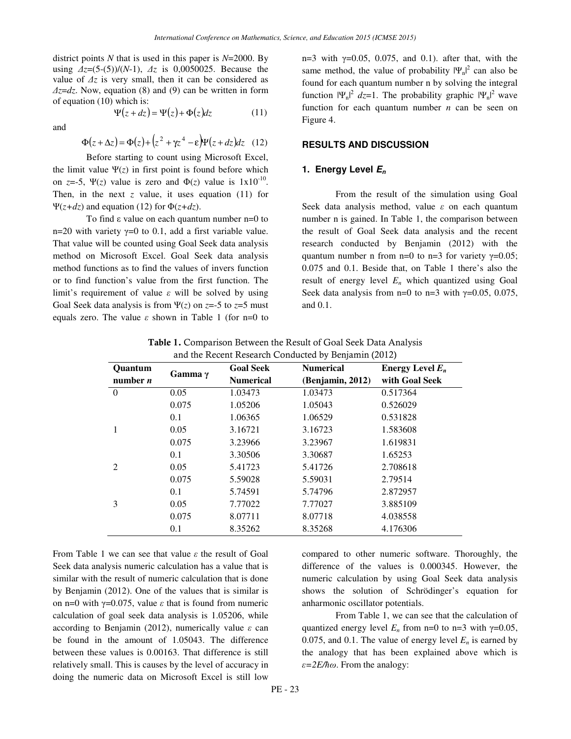district points *N* that is used in this paper is *N*=2000. By using ∆*z*=(5-(5))/(*N*-1), ∆*z* is 0,0050025. Because the value of ∆*z* is very small, then it can be considered as ∆*z*=*dz*. Now, equation (8) and (9) can be written in form of equation (10) which is:  $\Psi(z+d_{z}) = \Psi(z) + \Phi(z) dz$ 

and

$$
\mathbf{\Psi}(z + az) = \mathbf{\Psi}(z) + \mathbf{\Phi}(z)az \tag{11}
$$

$$
\Phi(z + \Delta z) = \Phi(z) + (z^2 + \gamma z^4 - \varepsilon)\Psi(z + dz)dz
$$
 (12)

Before starting to count using Microsoft Excel, the limit value  $\Psi(z)$  in first point is found before which on *z*=-5,  $\Psi(z)$  value is zero and  $\Phi(z)$  value is  $1x10^{-10}$ . Then, in the next  $z$  value, it uses equation (11) for Ψ(*z+dz*) and equation (12) for Φ(*z+dz*).

To find ε value on each quantum number n=0 to n=20 with variety  $\gamma$ =0 to 0.1, add a first variable value. That value will be counted using Goal Seek data analysis method on Microsoft Excel. Goal Seek data analysis method functions as to find the values of invers function or to find function's value from the first function. The limit's requirement of value  $\varepsilon$  will be solved by using Goal Seek data analysis is from  $\Psi(z)$  on  $z=5$  to  $z=5$  must equals zero. The value  $\varepsilon$  shown in Table 1 (for n=0 to n=3 with  $γ=0.05$ , 0.075, and 0.1). after that, with the same method, the value of probability  $|\Psi_n|^2$  can also be found for each quantum number n by solving the integral function  $|\Psi_n|^2 dz = 1$ . The probability graphic  $|\Psi_n|^2$  wave function for each quantum number *n* can be seen on Figure 4.

## **RESULTS AND DISCUSSION**

### **1. Energy Level E<sup>n</sup>**

From the result of the simulation using Goal Seek data analysis method, value  $\varepsilon$  on each quantum number n is gained. In Table 1, the comparison between the result of Goal Seek data analysis and the recent research conducted by Benjamin (2012) with the quantum number n from n=0 to n=3 for variety  $\gamma$ =0.05; 0.075 and 0.1. Beside that, on Table 1 there's also the result of energy level  $E_n$  which quantized using Goal Seek data analysis from n=0 to n=3 with  $\gamma$ =0.05, 0.075, and 0.1.

| <b>Ouantum</b> | Gamma $\gamma$ | <b>Goal Seek</b> | <b>Numerical</b> | Energy Level $E_n$ |
|----------------|----------------|------------------|------------------|--------------------|
| number $n$     |                | <b>Numerical</b> | (Benjamin, 2012) | with Goal Seek     |
| $\Omega$       | 0.05           | 1.03473          | 1.03473          | 0.517364           |
|                | 0.075          | 1.05206          | 1.05043          | 0.526029           |
|                | 0.1            | 1.06365          | 1.06529          | 0.531828           |
|                | 0.05           | 3.16721          | 3.16723          | 1.583608           |
|                | 0.075          | 3.23966          | 3.23967          | 1.619831           |
|                | 0.1            | 3.30506          | 3.30687          | 1.65253            |
| $\mathfrak{D}$ | 0.05           | 5.41723          | 5.41726          | 2.708618           |
|                | 0.075          | 5.59028          | 5.59031          | 2.79514            |
|                | 0.1            | 5.74591          | 5.74796          | 2.872957           |
| 3              | 0.05           | 7.77022          | 7.77027          | 3.885109           |
|                | 0.075          | 8.07711          | 8.07718          | 4.038558           |
|                | 0.1            | 8.35262          | 8.35268          | 4.176306           |

Table 1. Comparison Between the Result of Goal Seek Data Analysis and the Recent Research Conducted by Benjamin (2012)

From Table 1 we can see that value  $\varepsilon$  the result of Goal Seek data analysis numeric calculation has a value that is similar with the result of numeric calculation that is done by Benjamin (2012). One of the values that is similar is on n=0 with  $\gamma$ =0.075, value  $\varepsilon$  that is found from numeric calculation of goal seek data analysis is 1.05206, while according to Benjamin (2012), numerically value  $\varepsilon$  can be found in the amount of 1.05043. The difference between these values is 0.00163. That difference is still relatively small. This is causes by the level of accuracy in doing the numeric data on Microsoft Excel is still low

compared to other numeric software. Thoroughly, the difference of the values is 0.000345. However, the numeric calculation by using Goal Seek data analysis shows the solution of Schrödinger's equation for anharmonic oscillator potentials.

From Table 1, we can see that the calculation of quantized energy level  $E_n$  from n=0 to n=3 with  $\gamma$ =0.05, 0.075, and 0.1. The value of energy level  $E<sub>n</sub>$  is earned by the analogy that has been explained above which is  $\varepsilon = 2E/\hbar \omega$ . From the analogy: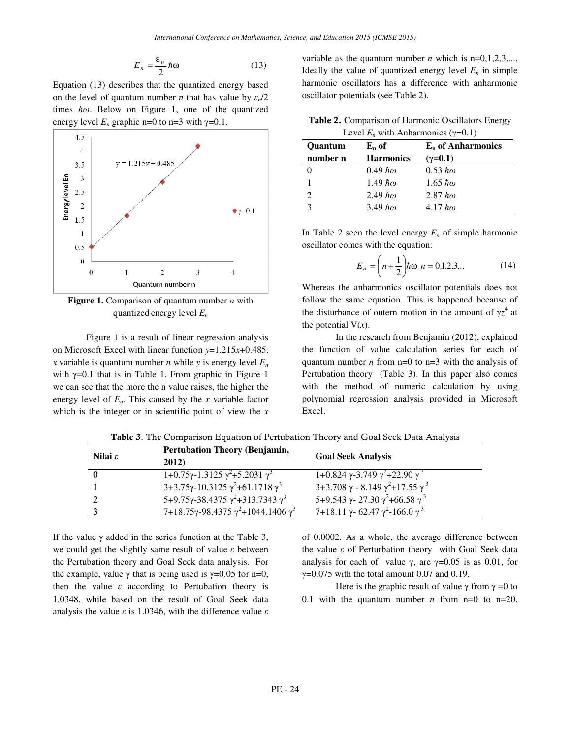$$
E_n = \frac{\varepsilon_n}{2} \hbar \omega \tag{13}
$$

Equation (13) describes that the quantized energy based on the level of quantum number *n* that has value by  $\varepsilon_n/2$ times  $\hbar \omega$ . Below on Figure 1, one of the quantized energy level  $E_n$  graphic n=0 to n=3 with  $\gamma$ =0.1.



**Figure 1.** Comparison of quantum number *n* with quantized energy level *E<sup>n</sup>*

Figure 1 is a result of linear regression analysis on Microsoft Excel with linear function *y*=1.215*x*+0.485. *x* variable is quantum number *n* while *y* is energy level  $E_n$ with  $\gamma$ =0.1 that is in Table 1. From graphic in Figure 1 we can see that the more the n value raises, the higher the energy level of  $E<sub>n</sub>$ . This caused by the *x* variable factor which is the integer or in scientific point of view the *x* variable as the quantum number *n* which is  $n=0,1,2,3,...$ , Ideally the value of quantized energy level  $E_n$  in simple harmonic oscillators has a difference with anharmonic oscillator potentials (see Table 2).

Table 2. Comparison of Harmonic Oscillators Energy Level  $E_n$  with Anharmonics ( $\gamma$ =0.1)

| <b>Ouantum</b> | $E_n$ of               | $E_n$ of Anharmonics   |  |  |
|----------------|------------------------|------------------------|--|--|
| number n       | <b>Harmonics</b>       | $(\gamma = 0.1)$       |  |  |
|                | $0.49~\hbar\omega$     | $0.53 \; \hbar \omega$ |  |  |
|                | $1.49~\hbar\omega$     | $1.65 \; \hbar \omega$ |  |  |
| 2              | $2.49 \; \hbar \omega$ | $2.87$ $\hbar\omega$   |  |  |
|                | $3.49 \hbar\omega$     | $4.17~\hbar\omega$     |  |  |

In Table 2 seen the level energy  $E_n$  of simple harmonic oscillator comes with the equation:

$$
E_n = \left(n + \frac{1}{2}\right) \hbar \omega \ n = 0, 1, 2, 3 \dots \tag{14}
$$

Whereas the anharmonics oscillator potentials does not follow the same equation. This is happened because of the disturbance of outern motion in the amount of  $\gamma z^4$  at the potential  $V(x)$ .

In the research from Benjamin (2012), explained the function of value calculation series for each of quantum number *n* from  $n=0$  to  $n=3$  with the analysis of Pertubation theory (Table 3). In this paper also comes with the method of numeric calculation by using polynomial regression analysis provided in Microsoft Excel.

| Nilai $\varepsilon$ | <b>Pertubation Theory (Benjamin,</b><br>2012)             | <b>Goal Seek Analysis</b>                                                  |
|---------------------|-----------------------------------------------------------|----------------------------------------------------------------------------|
| $\overline{0}$      | $1+0.75\gamma-1.3125\gamma^2+5.2031\gamma^3$              | $1+0.824$ $\gamma$ -3.749 $\gamma^2$ +22.90 $\gamma^3$                     |
|                     | $3+3.75\gamma-10.3125\gamma^2+61.1718\gamma^3$            | $3+3.708 \gamma - 8.149 \gamma^2 + 17.55 \gamma^3$                         |
| 2                   | $5+9.75\gamma-38.4375\gamma^2+313.7343\gamma^3$           | 5+9.543 $\gamma$ -27.30 $\gamma$ <sup>2</sup> +66.58 $\gamma$ <sup>3</sup> |
|                     | $7+18.75\gamma$ -98.4375 $\gamma^2$ +1044.1406 $\gamma^3$ | 7+18.11 $\gamma$ -62.47 $\gamma$ <sup>2</sup> -166.0 $\gamma$ <sup>3</sup> |

Table 3. The Comparison Equation of Pertubation Theory and Goal Seek Data Analysis

If the value  $\gamma$  added in the series function at the Table 3, we could get the slightly same result of value  $\varepsilon$  between the Pertubation theory and Goal Seek data analysis. For the example, value  $\gamma$  that is being used is  $\gamma$ =0.05 for n=0, then the value  $\varepsilon$  according to Pertubation theory is 1.0348, while based on the result of Goal Seek data analysis the value  $\varepsilon$  is 1.0346, with the difference value  $\varepsilon$ 

of 0.0002. As a whole, the average difference between the value  $ε$  of Perturbation theory with Goal Seek data analysis for each of value  $\gamma$ , are  $\gamma$ =0.05 is as 0.01, for  $γ=0.075$  with the total amount 0.07 and 0.19.

Here is the graphic result of value  $\gamma$  from  $\gamma = 0$  to 0.1 with the quantum number *n* from  $n=0$  to  $n=20$ .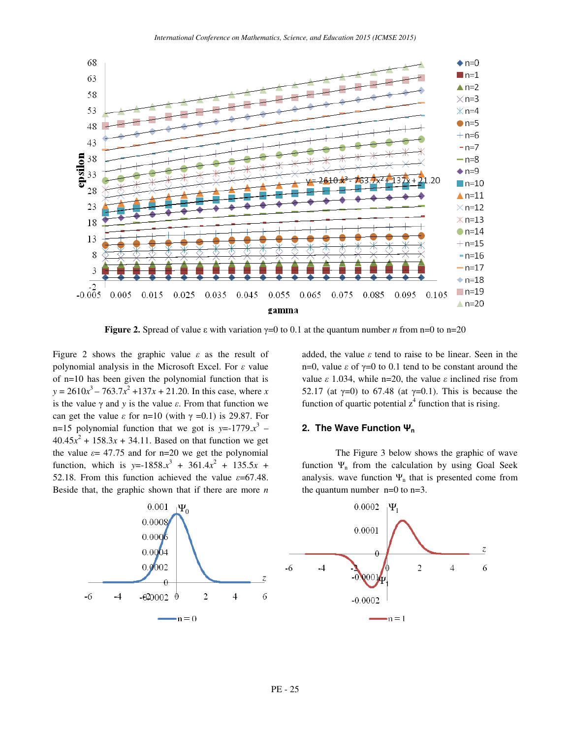

**Figure 2.** Spread of value ε with variation  $\gamma=0$  to 0.1 at the quantum number *n* from n=0 to n=20

Figure 2 shows the graphic value  $\varepsilon$  as the result of polynomial analysis in the Microsoft Excel. For  $\varepsilon$  value of n=10 has been given the polynomial function that is  $y = 2610x^3 - 763.7x^2 + 137x + 21.20$ . In this case, where *x* is the value  $\gamma$  and  $\gamma$  is the value  $\varepsilon$ . From that function we can get the value  $\varepsilon$  for n=10 (with  $\gamma$  =0.1) is 29.87. For n=15 polynomial function that we got is  $y=$ -1779. $x^3$  –  $40.45x^{2} + 158.3x + 34.11$ . Based on that function we get the value  $\varepsilon$  = 47.75 and for n=20 we get the polynomial function, which is  $y= -1858 \cdot x^3 + 361 \cdot 4x^2 + 135 \cdot 5x +$ 52.18. From this function achieved the value  $\varepsilon$ =67.48. Beside that, the graphic shown that if there are more *n*

added, the value  $\varepsilon$  tend to raise to be linear. Seen in the n=0, value  $ε$  of  $γ=0$  to 0.1 tend to be constant around the value  $ε$  1.034, while n=20, the value  $ε$  inclined rise from 52.17 (at  $\gamma$ =0) to 67.48 (at  $\gamma$ =0.1). This is because the function of quartic potential  $z^4$  function that is rising.

#### **2. The Wave Function** Ψ**<sup>n</sup>**

The Figure 3 below shows the graphic of wave function  $\Psi_n$  from the calculation by using Goal Seek analysis. wave function  $\Psi_n$  that is presented come from the quantum number  $n=0$  to  $n=3$ .

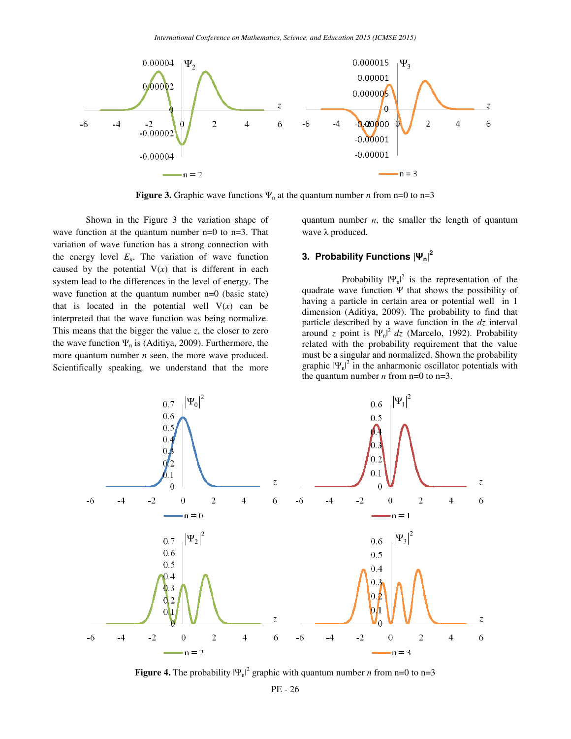

**Figure 3.** Graphic wave functions  $\Psi_n$  at the quantum number *n* from n=0 to n=3

Shown in the Figure 3 the variation shape of wave function at the quantum number  $n=0$  to  $n=3$ . That variation of wave function has a strong connection with the energy level  $E<sub>n</sub>$ . The variation of wave function caused by the potential  $V(x)$  that is different in each system lead to the differences in the level of energy. The wave function at the quantum number n=0 (basic state) that is located in the potential well  $V(x)$  can be interpreted that the wave function was being normalize. This means that the bigger the value *z*, the closer to zero the wave function  $\Psi_n$  is (Aditiya, 2009). Furthermore, the more quantum number *n* seen, the more wave produced. Scientifically speaking*,* we understand that the more quantum number *n*, the smaller the length of quantum wave λ produced.

# **3. Probability Functions |**Ψ**n| 2**

Probability  $|\Psi_n|^2$  is the representation of the quadrate wave function  $\Psi$  that shows the possibility of having a particle in certain area or potential well in 1 dimension (Aditiya, 2009). The probability to find that particle described by a wave function in the *dz* interval around *z* point is  $|\Psi_n|^2 dz$  (Marcelo, 1992). Probability related with the probability requirement that the value must be a singular and normalized. Shown the probability graphic  $|\Psi_n|^2$  in the anharmonic oscillator potentials with the quantum number *n* from  $n=0$  to  $n=3$ .



**Figure 4.** The probability  $|\Psi_n|^2$  graphic with quantum number *n* from n=0 to n=3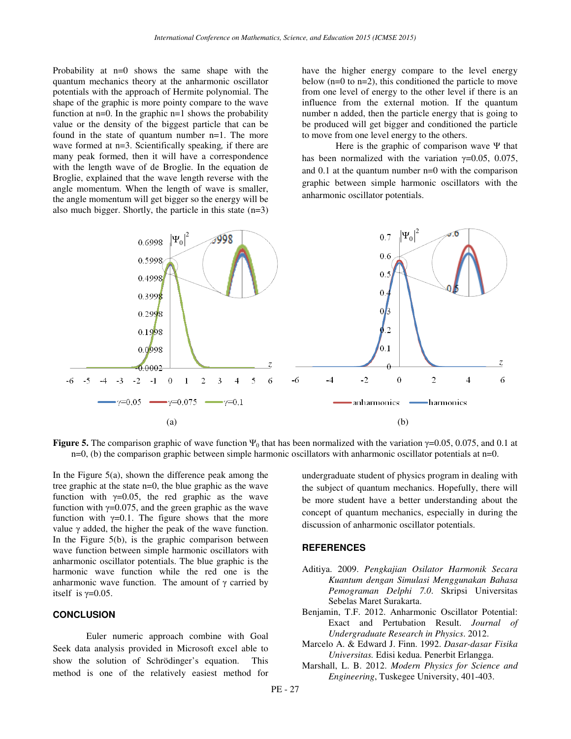Probability at n=0 shows the same shape with the quantum mechanics theory at the anharmonic oscillator potentials with the approach of Hermite polynomial. The shape of the graphic is more pointy compare to the wave function at  $n=0$ . In the graphic  $n=1$  shows the probability value or the density of the biggest particle that can be found in the state of quantum number n=1. The more wave formed at n=3. Scientifically speaking*,* if there are many peak formed, then it will have a correspondence with the length wave of de Broglie. In the equation de Broglie, explained that the wave length reverse with the angle momentum. When the length of wave is smaller, the angle momentum will get bigger so the energy will be also much bigger. Shortly, the particle in this state  $(n=3)$  have the higher energy compare to the level energy below  $(n=0 \text{ to } n=2)$ , this conditioned the particle to move from one level of energy to the other level if there is an influence from the external motion. If the quantum number n added, then the particle energy that is going to be produced will get bigger and conditioned the particle to move from one level energy to the others.

Here is the graphic of comparison wave Ψ that has been normalized with the variation  $\gamma=0.05$ , 0.075, and 0.1 at the quantum number n=0 with the comparison graphic between simple harmonic oscillators with the anharmonic oscillator potentials.



**Figure 5.** The comparison graphic of wave function  $\Psi_0$  that has been normalized with the variation  $\gamma=0.05$ , 0.075, and 0.1 at  $n=0$ , (b) the comparison graphic between simple harmonic oscillators with anharmonic oscillator potentials at  $n=0$ .

In the Figure  $5(a)$ , shown the difference peak among the tree graphic at the state n=0, the blue graphic as the wave function with  $\gamma=0.05$ , the red graphic as the wave function with  $\gamma=0.075$ , and the green graphic as the wave function with  $\gamma=0.1$ . The figure shows that the more value γ added, the higher the peak of the wave function. In the Figure  $5(b)$ , is the graphic comparison between wave function between simple harmonic oscillators with anharmonic oscillator potentials. The blue graphic is the harmonic wave function while the red one is the anharmonic wave function. The amount of  $\gamma$  carried by itself is  $\gamma$ =0.05.

### **CONCLUSION**

Euler numeric approach combine with Goal Seek data analysis provided in Microsoft excel able to show the solution of Schrödinger's equation. This method is one of the relatively easiest method for undergraduate student of physics program in dealing with the subject of quantum mechanics. Hopefully, there will be more student have a better understanding about the concept of quantum mechanics, especially in during the discussion of anharmonic oscillator potentials.

#### **REFERENCES**

- Aditiya. 2009. *Pengkajian Osilator Harmonik Secara Kuantum dengan Simulasi Menggunakan Bahasa Pemograman Delphi 7.0*. Skripsi Universitas Sebelas Maret Surakarta.
- Benjamin, T.F. 2012. Anharmonic Oscillator Potential: Exact and Pertubation Result. *Journal of Undergraduate Research in Physics*. 2012.
- Marcelo A. & Edward J. Finn. 1992. *Dasar-dasar Fisika Universitas.* Edisi kedua. Penerbit Erlangga.
- Marshall, L. B. 2012. *Modern Physics for Science and Engineering*, Tuskegee University, 401-403.